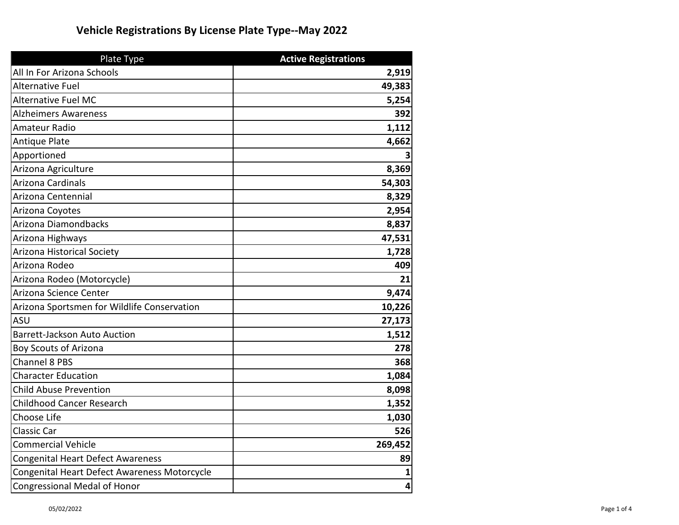## **Vehicle Registrations By License Plate Type--May 2022**

| <b>Plate Type</b>                            | <b>Active Registrations</b> |
|----------------------------------------------|-----------------------------|
| All In For Arizona Schools                   | 2,919                       |
| <b>Alternative Fuel</b>                      | 49,383                      |
| <b>Alternative Fuel MC</b>                   | 5,254                       |
| <b>Alzheimers Awareness</b>                  | 392                         |
| Amateur Radio                                | 1,112                       |
| <b>Antique Plate</b>                         | 4,662                       |
| Apportioned                                  |                             |
| Arizona Agriculture                          | 8,369                       |
| Arizona Cardinals                            | 54,303                      |
| Arizona Centennial                           | 8,329                       |
| Arizona Coyotes                              | 2,954                       |
| Arizona Diamondbacks                         | 8,837                       |
| Arizona Highways                             | 47,531                      |
| Arizona Historical Society                   | 1,728                       |
| Arizona Rodeo                                | 409                         |
| Arizona Rodeo (Motorcycle)                   | 21                          |
| Arizona Science Center                       | 9,474                       |
| Arizona Sportsmen for Wildlife Conservation  | 10,226                      |
| <b>ASU</b>                                   | 27,173                      |
| <b>Barrett-Jackson Auto Auction</b>          | 1,512                       |
| Boy Scouts of Arizona                        | 278                         |
| <b>Channel 8 PBS</b>                         | 368                         |
| <b>Character Education</b>                   | 1,084                       |
| <b>Child Abuse Prevention</b>                | 8,098                       |
| <b>Childhood Cancer Research</b>             | 1,352                       |
| Choose Life                                  | 1,030                       |
| <b>Classic Car</b>                           | 526                         |
| <b>Commercial Vehicle</b>                    | 269,452                     |
| <b>Congenital Heart Defect Awareness</b>     | 89                          |
| Congenital Heart Defect Awareness Motorcycle |                             |
| <b>Congressional Medal of Honor</b>          | 4                           |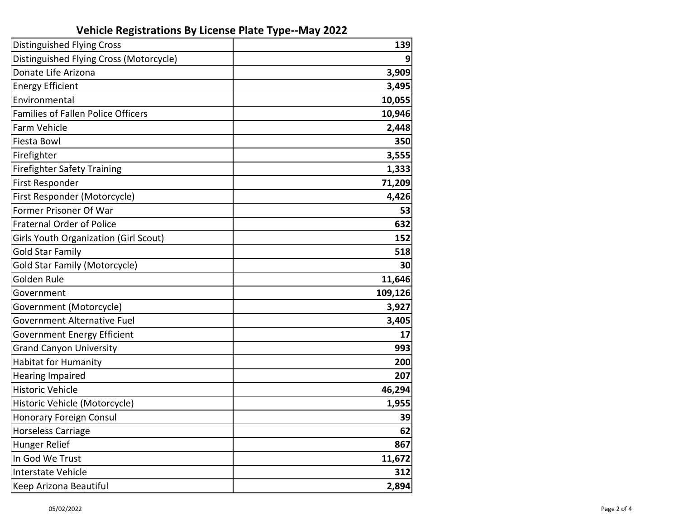## **Vehicle Registrations By License Plate Type--May 2022**

| <b>Distinguished Flying Cross</b>            | 139     |
|----------------------------------------------|---------|
| Distinguished Flying Cross (Motorcycle)      |         |
| Donate Life Arizona                          | 3,909   |
| <b>Energy Efficient</b>                      | 3,495   |
| Environmental                                | 10,055  |
| Families of Fallen Police Officers           | 10,946  |
| Farm Vehicle                                 | 2,448   |
| Fiesta Bowl                                  | 350     |
| Firefighter                                  | 3,555   |
| <b>Firefighter Safety Training</b>           | 1,333   |
| First Responder                              | 71,209  |
| First Responder (Motorcycle)                 | 4,426   |
| Former Prisoner Of War                       | 53      |
| <b>Fraternal Order of Police</b>             | 632     |
| <b>Girls Youth Organization (Girl Scout)</b> | 152     |
| <b>Gold Star Family</b>                      | 518     |
| Gold Star Family (Motorcycle)                | 30      |
| Golden Rule                                  | 11,646  |
| Government                                   | 109,126 |
| Government (Motorcycle)                      | 3,927   |
| Government Alternative Fuel                  | 3,405   |
| <b>Government Energy Efficient</b>           | 17      |
| <b>Grand Canyon University</b>               | 993     |
| <b>Habitat for Humanity</b>                  | 200     |
| <b>Hearing Impaired</b>                      | 207     |
| <b>Historic Vehicle</b>                      | 46,294  |
| Historic Vehicle (Motorcycle)                | 1,955   |
| <b>Honorary Foreign Consul</b>               | 39      |
| <b>Horseless Carriage</b>                    | 62      |
| Hunger Relief                                | 867     |
| In God We Trust                              | 11,672  |
| <b>Interstate Vehicle</b>                    | 312     |
| Keep Arizona Beautiful                       | 2,894   |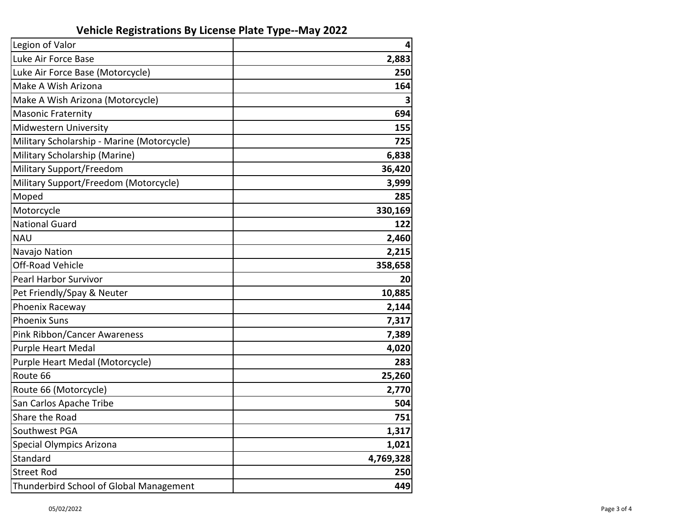## **Vehicle Registrations By License Plate Type--May 2022**

| Legion of Valor                            | 4         |
|--------------------------------------------|-----------|
| Luke Air Force Base                        | 2,883     |
| Luke Air Force Base (Motorcycle)           | 250       |
| Make A Wish Arizona                        | 164       |
| Make A Wish Arizona (Motorcycle)           |           |
| <b>Masonic Fraternity</b>                  | 694       |
| Midwestern University                      | 155       |
| Military Scholarship - Marine (Motorcycle) | 725       |
| Military Scholarship (Marine)              | 6,838     |
| Military Support/Freedom                   | 36,420    |
| Military Support/Freedom (Motorcycle)      | 3,999     |
| Moped                                      | 285       |
| Motorcycle                                 | 330,169   |
| <b>National Guard</b>                      | 122       |
| <b>NAU</b>                                 | 2,460     |
| Navajo Nation                              | 2,215     |
| Off-Road Vehicle                           | 358,658   |
| Pearl Harbor Survivor                      | 20        |
| Pet Friendly/Spay & Neuter                 | 10,885    |
| Phoenix Raceway                            | 2,144     |
| <b>Phoenix Suns</b>                        | 7,317     |
| Pink Ribbon/Cancer Awareness               | 7,389     |
| Purple Heart Medal                         | 4,020     |
| Purple Heart Medal (Motorcycle)            | 283       |
| Route 66                                   | 25,260    |
| Route 66 (Motorcycle)                      | 2,770     |
| San Carlos Apache Tribe                    | 504       |
| Share the Road                             | 751       |
| Southwest PGA                              | 1,317     |
| <b>Special Olympics Arizona</b>            | 1,021     |
| Standard                                   | 4,769,328 |
| <b>Street Rod</b>                          | 250       |
| Thunderbird School of Global Management    | 449       |